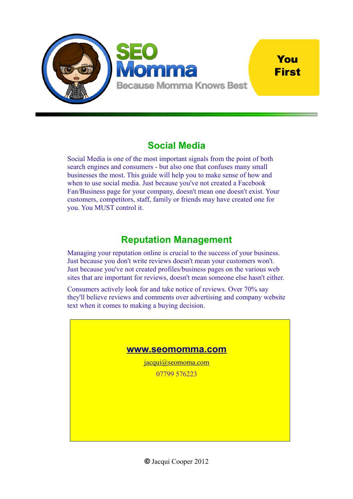

# You **First**

# **Social Media**

Social Media is one of the most important signals from the point of both search engines and consumers - but also one that confuses many small businesses the most. This guide will help you to make sense of how and when to use social media. Just because you've not created a Facebook Fan/Business page for your company, doesn't mean one doesn't exist. Your customers, competitors, staff, family or friends may have created one for you. You MUST control it.

# **Reputation Management**

Managing your reputation online is crucial to the success of your business. Just because you don't write reviews doesn't mean your customers won't. Just because you've not created profiles/business pages on the various web sites that are important for reviews, doesn't mean someone else hasn't either.

Consumers actively look for and take notice of reviews. Over 70% say they'll believe reviews and comments over advertising and company website text when it comes to making a buying decision.

# **[www.seomomma.com](http://www.seomomma.com/)** [jacqui@seomoma.com](mailto:jacqui@seomomma.com) 07799 576223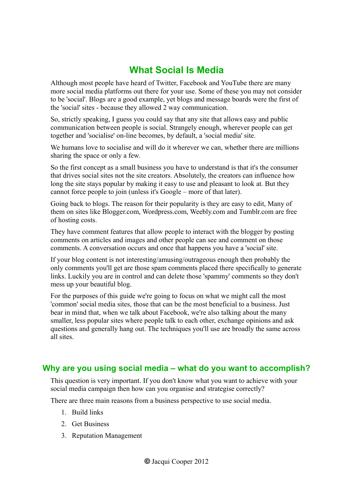# **What Social Is Media**

Although most people have heard of Twitter, Facebook and YouTube there are many more social media platforms out there for your use. Some of these you may not consider to be 'social'. Blogs are a good example, yet blogs and message boards were the first of the 'social' sites - because they allowed 2 way communication.

So, strictly speaking, I guess you could say that any site that allows easy and public communication between people is social. Strangely enough, wherever people can get together and 'socialise' on-line becomes, by default, a 'social media' site.

We humans love to socialise and will do it wherever we can, whether there are millions sharing the space or only a few.

So the first concept as a small business you have to understand is that it's the consumer that drives social sites not the site creators. Absolutely, the creators can influence how long the site stays popular by making it easy to use and pleasant to look at. But they cannot force people to join (unless it's Google – more of that later).

Going back to blogs. The reason for their popularity is they are easy to edit, Many of them on sites like Blogger.com, Wordpress.com, Weebly.com and Tumblr.com are free of hosting costs.

They have comment features that allow people to interact with the blogger by posting comments on articles and images and other people can see and comment on those comments. A conversation occurs and once that happens you have a 'social' site.

If your blog content is not interesting/amusing/outrageous enough then probably the only comments you'll get are those spam comments placed there specifically to generate links. Luckily you are in control and can delete those 'spammy' comments so they don't mess up your beautiful blog.

For the purposes of this guide we're going to focus on what we might call the most 'common' social media sites, those that can be the most beneficial to a business. Just bear in mind that, when we talk about Facebook, we're also talking about the many smaller, less popular sites where people talk to each other, exchange opinions and ask questions and generally hang out. The techniques you'll use are broadly the same across all sites.

# **Why are you using social media – what do you want to accomplish?**

This question is very important. If you don't know what you want to achieve with your social media campaign then how can you organise and strategise correctly?

There are three main reasons from a business perspective to use social media.

- 1. Build links
- 2. Get Business
- 3. Reputation Management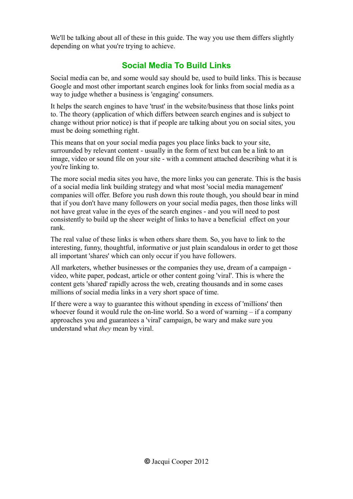We'll be talking about all of these in this guide. The way you use them differs slightly depending on what you're trying to achieve.

# **Social Media To Build Links**

Social media can be, and some would say should be, used to build links. This is because Google and most other important search engines look for links from social media as a way to judge whether a business is 'engaging' consumers.

It helps the search engines to have 'trust' in the website/business that those links point to. The theory (application of which differs between search engines and is subject to change without prior notice) is that if people are talking about you on social sites, you must be doing something right.

This means that on your social media pages you place links back to your site, surrounded by relevant content - usually in the form of text but can be a link to an image, video or sound file on your site - with a comment attached describing what it is you're linking to.

The more social media sites you have, the more links you can generate. This is the basis of a social media link building strategy and what most 'social media management' companies will offer. Before you rush down this route though, you should bear in mind that if you don't have many followers on your social media pages, then those links will not have great value in the eyes of the search engines - and you will need to post consistently to build up the sheer weight of links to have a beneficial effect on your rank.

The real value of these links is when others share them. So, you have to link to the interesting, funny, thoughtful, informative or just plain scandalous in order to get those all important 'shares' which can only occur if you have followers.

All marketers, whether businesses or the companies they use, dream of a campaign video, white paper, podcast, article or other content going 'viral'. This is where the content gets 'shared' rapidly across the web, creating thousands and in some cases millions of social media links in a very short space of time.

If there were a way to guarantee this without spending in excess of 'millions' then whoever found it would rule the on-line world. So a word of warning – if a company approaches you and guarantees a 'viral' campaign, be wary and make sure you understand what *they* mean by viral.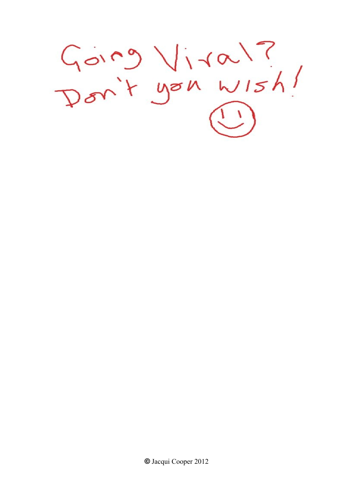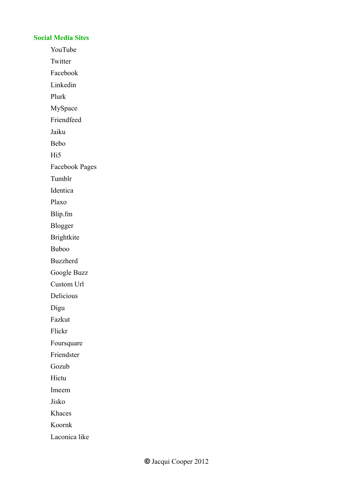## **Social Media Sites**

YouTube

Twitter

Facebook

Linkedin

Plurk

MySpace

Friendfeed

Jaiku

Bebo

H<sub>i5</sub>

Facebook Pages

Tumblr

Identica

Plaxo

Blip.fm

Blogger

Brightkite

Buboo

Buzzherd

Google Buzz

Custom Url

Delicious

Digu

Fazkut

Flickr

Foursquare

Friendster

Gozub

Hictu

Imeem

Jisko

Khaces

Koornk

Laconica like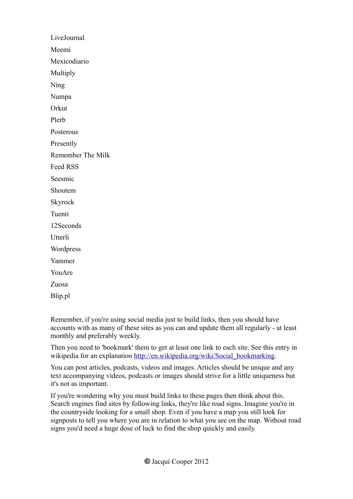LiveJournal Meemi Mexicodiario Multiply Ning Numpa **Orkut** Plerb Posterous Presently Remember The Milk Feed RSS Seesmic Shoutem Skyrock Tuenti 12Seconds **Utterli** Wordpress Yammer YouAre Zuosa Blip.pl

Remember, if you're using social media just to build links, then you should have accounts with as many of these sites as you can and update them all regularly - at least monthly and preferably weekly.

Then you need to 'bookmark' them to get at least one link to each site. See this entry in wikipedia for an explanation [http://en.wikipedia.org/wiki/Social\\_bookmarking.](http://en.wikipedia.org/wiki/Social_bookmarking)

You can post articles, podcasts, videos and images. Articles should be unique and any text accompanying videos, podcasts or images should strive for a little uniqueness but it's not as important.

If you're wondering why you must build links to these pages then think about this. Search engines find sites by following links, they're like road signs. Imagine you're in the countryside looking for a small shop. Even if you have a map you still look for signposts to tell you where you are in relation to what you see on the map. Without road signs you'd need a huge dose of luck to find the shop quickly and easily.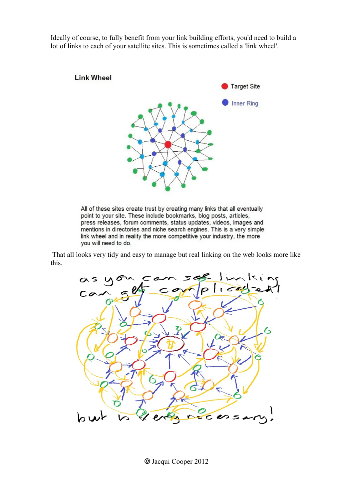Ideally of course, to fully benefit from your link building efforts, you'd need to build a lot of links to each of your satellite sites. This is sometimes called a 'link wheel'.



All of these sites create trust by creating many links that all eventually point to your site. These include bookmarks, blog posts, articles, press releases, forum comments, status updates, videos, images and mentions in directories and niche search engines. This is a very simple link wheel and in reality the more competitive your industry, the more you will need to do.

 That all looks very tidy and easy to manage but real linking on the web looks more like this.



**©** Jacqui Cooper 2012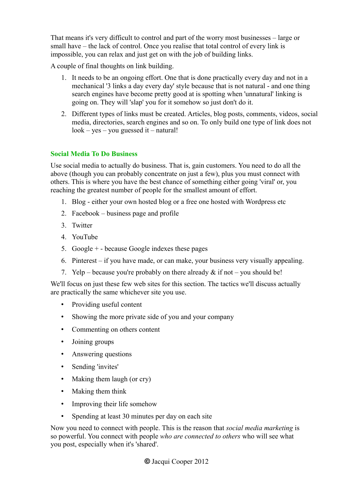That means it's very difficult to control and part of the worry most businesses – large or small have – the lack of control. Once you realise that total control of every link is impossible, you can relax and just get on with the job of building links.

A couple of final thoughts on link building.

- 1. It needs to be an ongoing effort. One that is done practically every day and not in a mechanical '3 links a day every day' style because that is not natural - and one thing search engines have become pretty good at is spotting when 'unnatural' linking is going on. They will 'slap' you for it somehow so just don't do it.
- 2. Different types of links must be created. Articles, blog posts, comments, videos, social media, directories, search engines and so on. To only build one type of link does not look – yes – you guessed it – natural!

# **Social Media To Do Business**

Use social media to actually do business. That is, gain customers. You need to do all the above (though you can probably concentrate on just a few), plus you must connect with others. This is where you have the best chance of something either going 'viral' or, you reaching the greatest number of people for the smallest amount of effort.

- 1. Blog either your own hosted blog or a free one hosted with Wordpress etc
- 2. Facebook business page and profile
- 3. Twitter
- 4. YouTube
- 5. Google + because Google indexes these pages
- 6. Pinterest if you have made, or can make, your business very visually appealing.
- 7. Yelp because you're probably on there already  $\&$  if not you should be!

We'll focus on just these few web sites for this section. The tactics we'll discuss actually are practically the same whichever site you use.

- Providing useful content
- Showing the more private side of you and your company
- Commenting on others content
- Joining groups
- Answering questions
- Sending 'invites'
- Making them laugh (or cry)
- Making them think
- Improving their life somehow
- Spending at least 30 minutes per day on each site

Now you need to connect with people. This is the reason that *social media marketing* is so powerful. You connect with people *who are connected to others* who will see what you post, especially when it's 'shared'.

**©** Jacqui Cooper 2012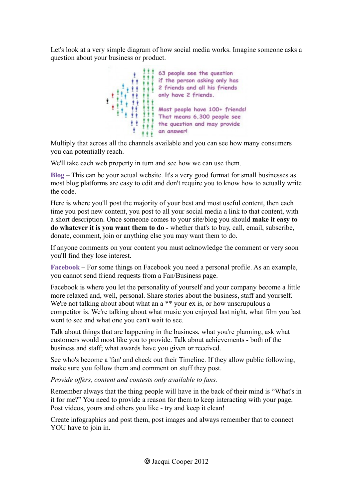Let's look at a very simple diagram of how social media works. Imagine someone asks a question about your business or product.



Multiply that across all the channels available and you can see how many consumers you can potentially reach.

We'll take each web property in turn and see how we can use them.

**Blog** – This can be your actual website. It's a very good format for small businesses as most blog platforms are easy to edit and don't require you to know how to actually write the code.

Here is where you'll post the majority of your best and most useful content, then each time you post new content, you post to all your social media a link to that content, with a short description. Once someone comes to your site/blog you should **make it easy to do whatever it is you want them to do -** whether that's to buy, call, email, subscribe, donate, comment, join or anything else you may want them to do.

If anyone comments on your content you must acknowledge the comment or very soon you'll find they lose interest.

**Facebook** – For some things on Facebook you need a personal profile. As an example, you cannot send friend requests from a Fan/Business page.

Facebook is where you let the personality of yourself and your company become a little more relaxed and, well, personal. Share stories about the business, staff and yourself. We're not talking about about what an a \*\* your ex is, or how unscrupulous a competitor is. We're talking about what music you enjoyed last night, what film you last went to see and what one you can't wait to see.

Talk about things that are happening in the business, what you're planning, ask what customers would most like you to provide. Talk about achievements - both of the business and staff; what awards have you given or received.

See who's become a 'fan' and check out their Timeline. If they allow public following, make sure you follow them and comment on stuff they post.

*Provide offers, content and contests only available to fans.*

Remember always that the thing people will have in the back of their mind is "What's in it for me?" You need to provide a reason for them to keep interacting with your page. Post videos, yours and others you like - try and keep it clean!

Create infographics and post them, post images and always remember that to connect YOU have to join in.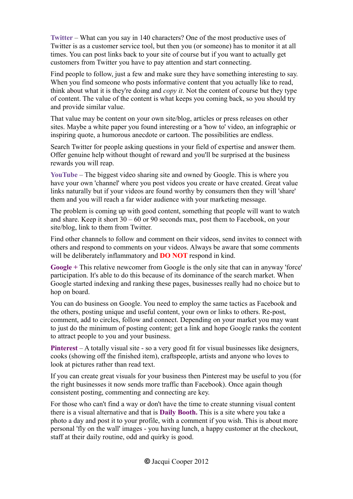**Twitter** – What can you say in 140 characters? One of the most productive uses of Twitter is as a customer service tool, but then you (or someone) has to monitor it at all times. You can post links back to your site of course but if you want to actually get customers from Twitter you have to pay attention and start connecting.

Find people to follow, just a few and make sure they have something interesting to say. When you find someone who posts informative content that you actually like to read, think about what it is they're doing and *copy it*. Not the content of course but they type of content. The value of the content is what keeps you coming back, so you should try and provide similar value.

That value may be content on your own site/blog, articles or press releases on other sites. Maybe a white paper you found interesting or a 'how to' video, an infographic or inspiring quote, a humorous anecdote or cartoon. The possibilities are endless.

Search Twitter for people asking questions in your field of expertise and answer them. Offer genuine help without thought of reward and you'll be surprised at the business rewards you will reap.

**YouTube** – The biggest video sharing site and owned by Google. This is where you have your own 'channel' where you post videos you create or have created. Great value links naturally but if your videos are found worthy by consumers then they will 'share' them and you will reach a far wider audience with your marketing message.

The problem is coming up with good content, something that people will want to watch and share. Keep it short  $30 - 60$  or 90 seconds max, post them to Facebook, on your site/blog, link to them from Twitter.

Find other channels to follow and comment on their videos, send invites to connect with others and respond to comments on your videos. Always be aware that some comments will be deliberately inflammatory and **DO NOT** respond in kind.

**Google +** This relative newcomer from Google is the only site that can in anyway 'force' participation. It's able to do this because of its dominance of the search market. When Google started indexing and ranking these pages, businesses really had no choice but to hop on board.

You can do business on Google. You need to employ the same tactics as Facebook and the others, posting unique and useful content, your own or links to others. Re-post, comment, add to circles, follow and connect. Depending on your market you may want to just do the minimum of posting content; get a link and hope Google ranks the content to attract people to you and your business.

**Pinterest** – A totally visual site - so a very good fit for visual businesses like designers, cooks (showing off the finished item), craftspeople, artists and anyone who loves to look at pictures rather than read text.

If you can create great visuals for your business then Pinterest may be useful to you (for the right businesses it now sends more traffic than Facebook). Once again though consistent posting, commenting and connecting are key.

For those who can't find a way or don't have the time to create stunning visual content there is a visual alternative and that is **Daily Booth.** This is a site where you take a photo a day and post it to your profile, with a comment if you wish. This is about more personal 'fly on the wall' images - you having lunch, a happy customer at the checkout, staff at their daily routine, odd and quirky is good.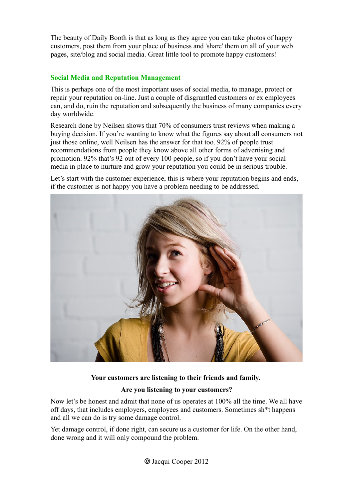The beauty of Daily Booth is that as long as they agree you can take photos of happy customers, post them from your place of business and 'share' them on all of your web pages, site/blog and social media. Great little tool to promote happy customers!

# **Social Media and Reputation Management**

This is perhaps one of the most important uses of social media, to manage, protect or repair your reputation on-line. Just a couple of disgruntled customers or ex employees can, and do, ruin the reputation and subsequently the business of many companies every day worldwide.

Research done by Neilsen shows that 70% of consumers trust reviews when making a buying decision. If you're wanting to know what the figures say about all consumers not just those online, well Neilsen has the answer for that too. 92% of people trust recommendations from people they know above all other forms of advertising and promotion. 92% that's 92 out of every 100 people, so if you don't have your social media in place to nurture and grow your reputation you could be in serious trouble.

Let's start with the customer experience, this is where your reputation begins and ends, if the customer is not happy you have a problem needing to be addressed.



## **Your customers are listening to their friends and family.**

## **Are you listening to your customers?**

Now let's be honest and admit that none of us operates at 100% all the time. We all have off days, that includes employers, employees and customers. Sometimes sh\*t happens and all we can do is try some damage control.

Yet damage control, if done right, can secure us a customer for life. On the other hand, done wrong and it will only compound the problem.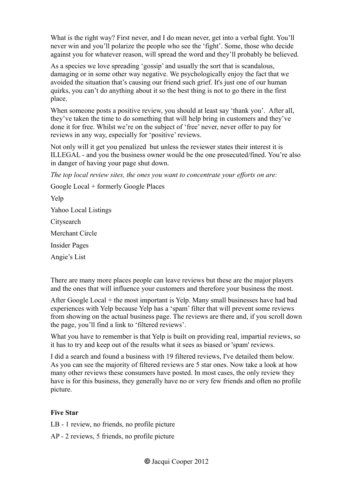What is the right way? First never, and I do mean never, get into a verbal fight. You'll never win and you'll polarize the people who see the 'fight'. Some, those who decide against you for whatever reason, will spread the word and they'll probably be believed.

As a species we love spreading 'gossip' and usually the sort that is scandalous, damaging or in some other way negative. We psychologically enjoy the fact that we avoided the situation that's causing our friend such grief. It's just one of our human quirks, you can't do anything about it so the best thing is not to go there in the first place.

When someone posts a positive review, you should at least say 'thank you'. After all, they've taken the time to do something that will help bring in customers and they've done it for free. Whilst we're on the subject of 'free' never, never offer to pay for reviews in any way, especially for 'positive' reviews.

Not only will it get you penalized but unless the reviewer states their interest it is ILLEGAL - and you the business owner would be the one prosecuted/fined. You're also in danger of having your page shut down.

*The top local review sites, the ones you want to concentrate your efforts on are:*

Google Local + formerly Google Places

Yelp

Yahoo Local Listings

**Citysearch** 

Merchant Circle

Insider Pages

Angie's List

There are many more places people can leave reviews but these are the major players and the ones that will influence your customers and therefore your business the most.

After Google Local + the most important is Yelp. Many small businesses have had bad experiences with Yelp because Yelp has a 'spam' filter that will prevent some reviews from showing on the actual business page. The reviews are there and, if you scroll down the page, you'll find a link to 'filtered reviews'.

What you have to remember is that Yelp is built on providing real, impartial reviews, so it has to try and keep out of the results what it sees as biased or 'spam' reviews.

I did a search and found a business with 19 filtered reviews, I've detailed them below. As you can see the majority of filtered reviews are 5 star ones. Now take a look at how many other reviews these consumers have posted. In most cases, the only review they have is for this business, they generally have no or very few friends and often no profile picture.

## **Five Star**

- LB 1 review, no friends, no profile picture
- AP 2 reviews, 5 friends, no profile picture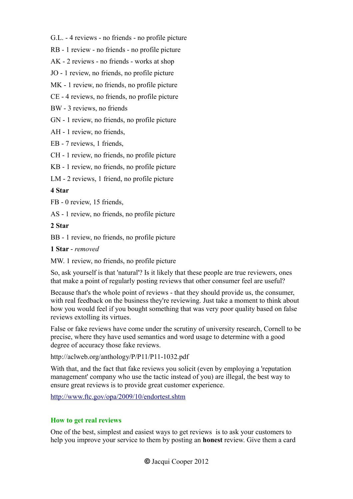G.L. - 4 reviews - no friends - no profile picture

RB - 1 review - no friends - no profile picture

AK - 2 reviews - no friends - works at shop

JO - 1 review, no friends, no profile picture

MK - 1 review, no friends, no profile picture

CE - 4 reviews, no friends, no profile picture

BW - 3 reviews, no friends

GN - 1 review, no friends, no profile picture

AH - 1 review, no friends,

EB - 7 reviews, 1 friends,

CH - 1 review, no friends, no profile picture

KB - 1 review, no friends, no profile picture

LM - 2 reviews, 1 friend, no profile picture

#### **4 Star**

FB - 0 review, 15 friends,

AS - 1 review, no friends, no profile picture

#### **2 Star**

BB - 1 review, no friends, no profile picture

#### **1 Star** - *removed*

MW. 1 review, no friends, no profile picture

So, ask yourself is that 'natural'? Is it likely that these people are true reviewers, ones that make a point of regularly posting reviews that other consumer feel are useful?

Because that's the whole point of reviews - that they should provide us, the consumer, with real feedback on the business they're reviewing. Just take a moment to think about how you would feel if you bought something that was very poor quality based on false reviews extolling its virtues.

False or fake reviews have come under the scrutiny of university research, Cornell to be precise, where they have used semantics and word usage to determine with a good degree of accuracy those fake reviews.

http://aclweb.org/anthology/P/P11/P11-1032.pdf

With that, and the fact that fake reviews you solicit (even by employing a 'reputation management' company who use the tactic instead of you) are illegal, the best way to ensure great reviews is to provide great customer experience.

<http://www.ftc.gov/opa/2009/10/endortest.shtm>

#### **How to get real reviews**

One of the best, simplest and easiest ways to get reviews is to ask your customers to help you improve your service to them by posting an **honest** review. Give them a card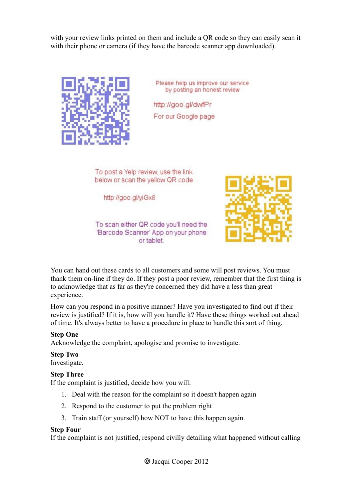with your review links printed on them and include a QR code so they can easily scan it with their phone or camera (if they have the barcode scanner app downloaded).



Please help us improve our service by posting an honest review

http://goo.gl/dwfPr For our Google page

To post a Yelp review, use the link below or scan the yellow QR code

http://goo.gl/yiGx8



To scan either QR code you'll need the 'Barcode Scanner' App on your phone or tablet.

You can hand out these cards to all customers and some will post reviews. You must thank them on-line if they do. If they post a poor review, remember that the first thing is to acknowledge that as far as they're concerned they did have a less than great experience.

How can you respond in a positive manner? Have you investigated to find out if their review is justified? If it is, how will you handle it? Have these things worked out ahead of time. It's always better to have a procedure in place to handle this sort of thing.

#### **Step One**

Acknowledge the complaint, apologise and promise to investigate.

## **Step Two**

Investigate.

#### **Step Three**

If the complaint is justified, decide how you will:

- 1. Deal with the reason for the complaint so it doesn't happen again
- 2. Respond to the customer to put the problem right
- 3. Train staff (or yourself) how NOT to have this happen again.

#### **Step Four**

If the complaint is not justified, respond civilly detailing what happened without calling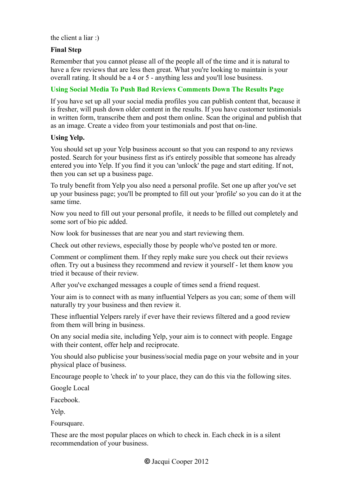#### the client a liar :)

## **Final Step**

Remember that you cannot please all of the people all of the time and it is natural to have a few reviews that are less then great. What you're looking to maintain is your overall rating. It should be a 4 or 5 - anything less and you'll lose business.

# **Using Social Media To Push Bad Reviews Comments Down The Results Page**

If you have set up all your social media profiles you can publish content that, because it is fresher, will push down older content in the results. If you have customer testimonials in written form, transcribe them and post them online. Scan the original and publish that as an image. Create a video from your testimonials and post that on-line.

#### **Using Yelp.**

You should set up your Yelp business account so that you can respond to any reviews posted. Search for your business first as it's entirely possible that someone has already entered you into Yelp. If you find it you can 'unlock' the page and start editing. If not, then you can set up a business page.

To truly benefit from Yelp you also need a personal profile. Set one up after you've set up your business page; you'll be prompted to fill out your 'profile' so you can do it at the same time.

Now you need to fill out your personal profile, it needs to be filled out completely and some sort of bio pic added.

Now look for businesses that are near you and start reviewing them.

Check out other reviews, especially those by people who've posted ten or more.

Comment or compliment them. If they reply make sure you check out their reviews often. Try out a business they recommend and review it yourself - let them know you tried it because of their review.

After you've exchanged messages a couple of times send a friend request.

Your aim is to connect with as many influential Yelpers as you can; some of them will naturally try your business and then review it.

These influential Yelpers rarely if ever have their reviews filtered and a good review from them will bring in business.

On any social media site, including Yelp, your aim is to connect with people. Engage with their content, offer help and reciprocate.

You should also publicise your business/social media page on your website and in your physical place of business.

Encourage people to 'check in' to your place, they can do this via the following sites.

Google Local

Facebook.

Yelp.

Foursquare.

These are the most popular places on which to check in. Each check in is a silent recommendation of your business.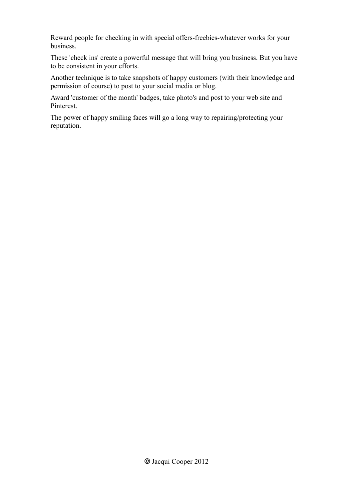Reward people for checking in with special offers-freebies-whatever works for your business.

These 'check ins' create a powerful message that will bring you business. But you have to be consistent in your efforts.

Another technique is to take snapshots of happy customers (with their knowledge and permission of course) to post to your social media or blog.

Award 'customer of the month' badges, take photo's and post to your web site and Pinterest.

The power of happy smiling faces will go a long way to repairing/protecting your reputation.